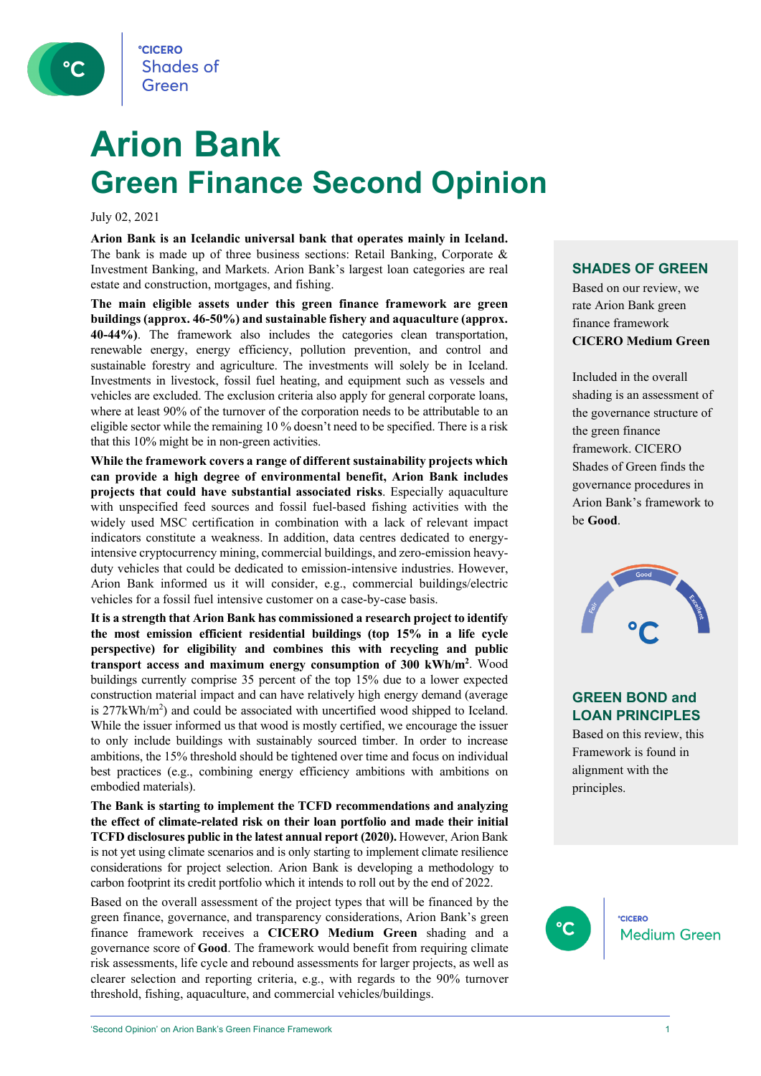

## **Arion Bank Green Finance Second Opinion**

July 02, 2021

**Arion Bank is an Icelandic universal bank that operates mainly in Iceland.** The bank is made up of three business sections: Retail Banking, Corporate  $\&$ Investment Banking, and Markets. Arion Bank's largest loan categories are real estate and construction, mortgages, and fishing.

**The main eligible assets under this green finance framework are green buildings (approx. 46-50%) and sustainable fishery and aquaculture (approx. 40-44%)**. The framework also includes the categories clean transportation, renewable energy, energy efficiency, pollution prevention, and control and sustainable forestry and agriculture. The investments will solely be in Iceland. Investments in livestock, fossil fuel heating, and equipment such as vessels and vehicles are excluded. The exclusion criteria also apply for general corporate loans, where at least 90% of the turnover of the corporation needs to be attributable to an eligible sector while the remaining 10 % doesn't need to be specified. There is a risk that this 10% might be in non-green activities.

**While the framework covers a range of different sustainability projects which can provide a high degree of environmental benefit, Arion Bank includes projects that could have substantial associated risks**. Especially aquaculture with unspecified feed sources and fossil fuel-based fishing activities with the widely used MSC certification in combination with a lack of relevant impact indicators constitute a weakness. In addition, data centres dedicated to energyintensive cryptocurrency mining, commercial buildings, and zero-emission heavyduty vehicles that could be dedicated to emission-intensive industries. However, Arion Bank informed us it will consider, e.g., commercial buildings/electric vehicles for a fossil fuel intensive customer on a case-by-case basis.

**It is a strength that Arion Bank has commissioned a research project to identify the most emission efficient residential buildings (top 15% in a life cycle perspective) for eligibility and combines this with recycling and public transport access and maximum energy consumption of 300 kWh/m2** . Wood buildings currently comprise 35 percent of the top 15% due to a lower expected construction material impact and can have relatively high energy demand (average is 277kWh/m<sup>2</sup>) and could be associated with uncertified wood shipped to Iceland. While the issuer informed us that wood is mostly certified, we encourage the issuer to only include buildings with sustainably sourced timber. In order to increase ambitions, the 15% threshold should be tightened over time and focus on individual best practices (e.g., combining energy efficiency ambitions with ambitions on embodied materials).

**The Bank is starting to implement the TCFD recommendations and analyzing the effect of climate-related risk on their loan portfolio and made their initial TCFD disclosures public in the latest annual report (2020).** However, Arion Bank is not yet using climate scenarios and is only starting to implement climate resilience considerations for project selection. Arion Bank is developing a methodology to carbon footprint its credit portfolio which it intends to roll out by the end of 2022.

Based on the overall assessment of the project types that will be financed by the green finance, governance, and transparency considerations, Arion Bank's green finance framework receives a **CICERO Medium Green** shading and a governance score of **Good**. The framework would benefit from requiring climate risk assessments, life cycle and rebound assessments for larger projects, as well as clearer selection and reporting criteria, e.g., with regards to the 90% turnover threshold, fishing, aquaculture, and commercial vehicles/buildings.

#### **SHADES OF GREEN**

Based on our review, we rate Arion Bank green finance framework **CICERO Medium Green**

Included in the overall shading is an assessment of the governance structure of the green finance framework. CICERO Shades of Green finds the governance procedures in Arion Bank's framework to be **Good**.



#### **GREEN BOND and LOAN PRINCIPLES**

Based on this review, this Framework is found in alignment with the principles.

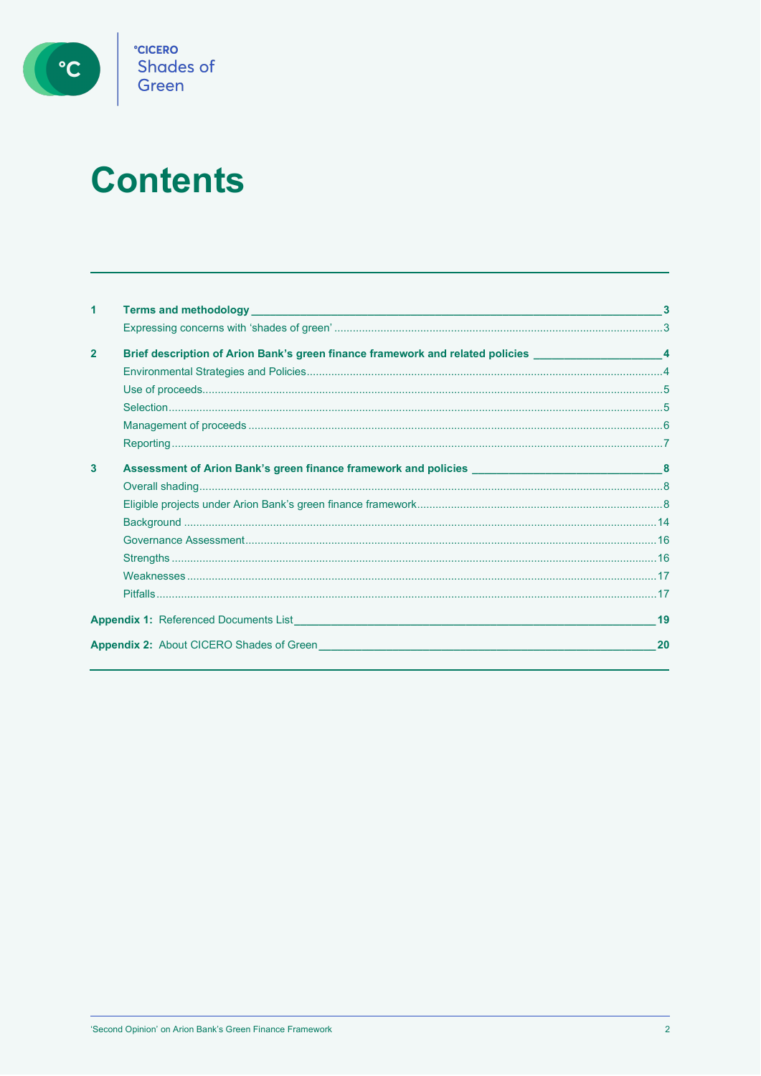

## **Contents**

| 1              |                                                                                                                   |                |
|----------------|-------------------------------------------------------------------------------------------------------------------|----------------|
|                |                                                                                                                   |                |
| $\overline{2}$ | Brief description of Arion Bank's green finance framework and related policies ____________________               | $\overline{4}$ |
|                |                                                                                                                   |                |
|                |                                                                                                                   |                |
|                |                                                                                                                   |                |
|                |                                                                                                                   |                |
|                |                                                                                                                   |                |
| 3              |                                                                                                                   |                |
|                |                                                                                                                   |                |
|                |                                                                                                                   |                |
|                |                                                                                                                   |                |
|                |                                                                                                                   |                |
|                |                                                                                                                   |                |
|                |                                                                                                                   |                |
|                |                                                                                                                   |                |
|                | <b>Appendix 1:</b> Referenced Documents List <b>Example 2018</b> 2019 12:30 Appendix 1: Referenced Documents List | 19             |
|                | <b>Appendix 2:</b> About CICERO Shades of Green                                                                   | 20             |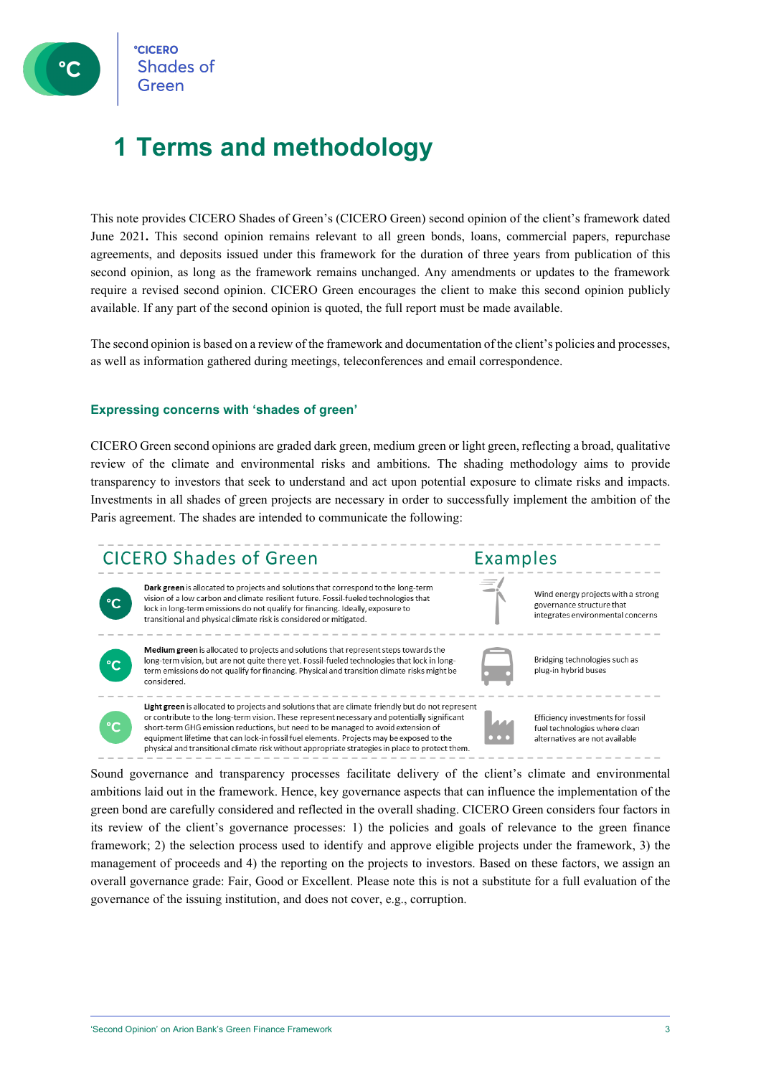### **1 Terms and methodology**

This note provides CICERO Shades of Green's (CICERO Green) second opinion of the client's framework dated June 2021**.** This second opinion remains relevant to all green bonds, loans, commercial papers, repurchase agreements, and deposits issued under this framework for the duration of three years from publication of this second opinion, as long as the framework remains unchanged. Any amendments or updates to the framework require a revised second opinion. CICERO Green encourages the client to make this second opinion publicly available. If any part of the second opinion is quoted, the full report must be made available.

The second opinion is based on a review of the framework and documentation of the client's policies and processes, as well as information gathered during meetings, teleconferences and email correspondence.

#### **Expressing concerns with 'shades of green'**

CICERO Green second opinions are graded dark green, medium green or light green, reflecting a broad, qualitative review of the climate and environmental risks and ambitions. The shading methodology aims to provide transparency to investors that seek to understand and act upon potential exposure to climate risks and impacts. Investments in all shades of green projects are necessary in order to successfully implement the ambition of the Paris agreement. The shades are intended to communicate the following:

### **CICERO Shades of Green**



Dark green is allocated to projects and solutions that correspond to the long-term vision of a low carbon and climate resilient future. Fossil-fueled technologies that lock in long-term emissions do not qualify for financing. Ideally, exposure to transitional and physical climate risk is considered or mitigated.



Medium green is allocated to projects and solutions that represent steps towards the long-term vision, but are not quite there yet. Fossil-fueled technologies that lock in longterm emissions do not qualify for financing. Physical and transition climate risks might be considered.

Light green is allocated to projects and solutions that are climate friendly but do not represent or contribute to the long-term vision. These represent necessary and potentially significant

short-term GHG emission reductions, but need to be managed to avoid extension of

equipment lifetime that can lock-in fossil fuel elements. Projects may be exposed to the

physical and transitional climate risk without appropriate strategies in place to protect them.



Examples

Bridging technologies such as plug-in hybrid buses

Wind energy projects with a strong

integrates environmental concerns

governance structure that

Efficiency investments for fossil fuel technologies where clean alternatives are not available

Sound governance and transparency processes facilitate delivery of the client's climate and environmental ambitions laid out in the framework. Hence, key governance aspects that can influence the implementation of the green bond are carefully considered and reflected in the overall shading. CICERO Green considers four factors in its review of the client's governance processes: 1) the policies and goals of relevance to the green finance framework; 2) the selection process used to identify and approve eligible projects under the framework, 3) the management of proceeds and 4) the reporting on the projects to investors. Based on these factors, we assign an overall governance grade: Fair, Good or Excellent. Please note this is not a substitute for a full evaluation of the governance of the issuing institution, and does not cover, e.g., corruption.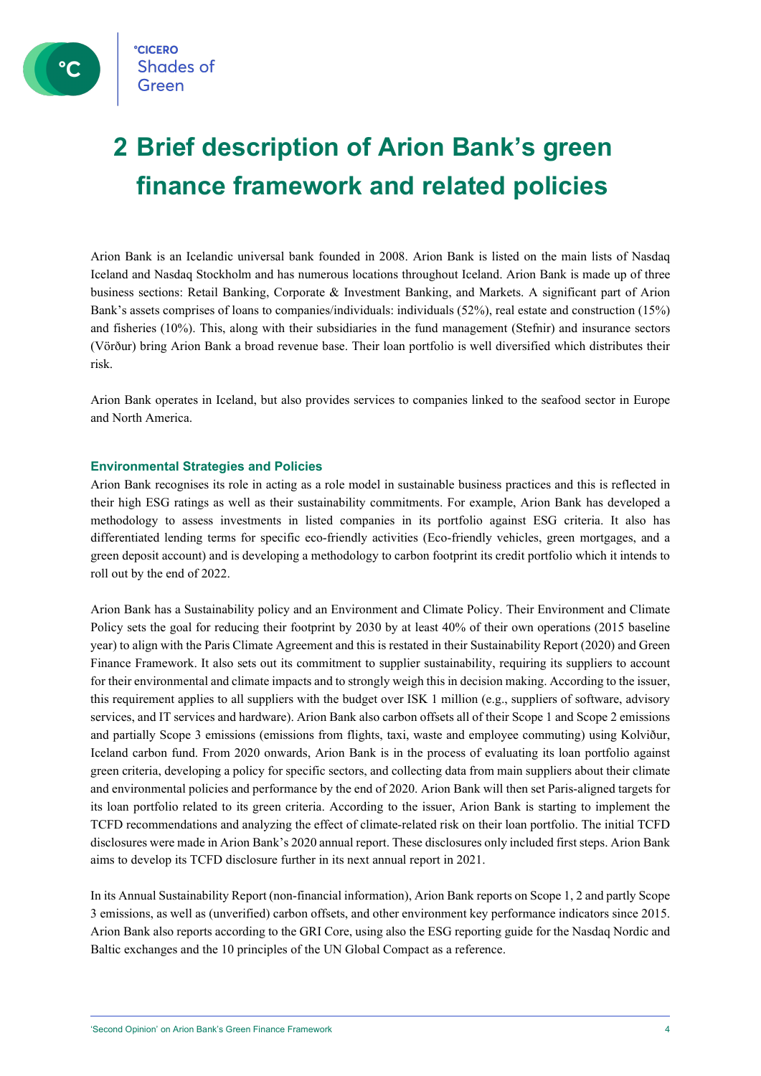### **2 Brief description of Arion Bank's green finance framework and related policies**

Arion Bank is an Icelandic universal bank founded in 2008. Arion Bank is listed on the main lists of Nasdaq Iceland and Nasdaq Stockholm and has numerous locations throughout Iceland. Arion Bank is made up of three business sections: Retail Banking, Corporate & Investment Banking, and Markets. A significant part of Arion Bank's assets comprises of loans to companies/individuals: individuals (52%), real estate and construction (15%) and fisheries (10%). This, along with their subsidiaries in the fund management (Stefnir) and insurance sectors (Vörður) bring Arion Bank a broad revenue base. Their loan portfolio is well diversified which distributes their risk.

Arion Bank operates in Iceland, but also provides services to companies linked to the seafood sector in Europe and North America.

#### **Environmental Strategies and Policies**

Arion Bank recognises its role in acting as a role model in sustainable business practices and this is reflected in their high ESG ratings as well as their sustainability commitments. For example, Arion Bank has developed a methodology to assess investments in listed companies in its portfolio against ESG criteria. It also has differentiated lending terms for specific eco-friendly activities (Eco-friendly vehicles, green mortgages, and a green deposit account) and is developing a methodology to carbon footprint its credit portfolio which it intends to roll out by the end of 2022.

Arion Bank has a Sustainability policy and an Environment and Climate Policy. Their Environment and Climate Policy sets the goal for reducing their footprint by 2030 by at least 40% of their own operations (2015 baseline year) to align with the Paris Climate Agreement and this is restated in their Sustainability Report (2020) and Green Finance Framework. It also sets out its commitment to supplier sustainability, requiring its suppliers to account for their environmental and climate impacts and to strongly weigh this in decision making. According to the issuer, this requirement applies to all suppliers with the budget over ISK 1 million (e.g., suppliers of software, advisory services, and IT services and hardware). Arion Bank also carbon offsets all of their Scope 1 and Scope 2 emissions and partially Scope 3 emissions (emissions from flights, taxi, waste and employee commuting) using Kolviður, Iceland carbon fund. From 2020 onwards, Arion Bank is in the process of evaluating its loan portfolio against green criteria, developing a policy for specific sectors, and collecting data from main suppliers about their climate and environmental policies and performance by the end of 2020. Arion Bank will then set Paris-aligned targets for its loan portfolio related to its green criteria. According to the issuer, Arion Bank is starting to implement the TCFD recommendations and analyzing the effect of climate-related risk on their loan portfolio. The initial TCFD disclosures were made in Arion Bank's 2020 annual report. These disclosures only included first steps. Arion Bank aims to develop its TCFD disclosure further in its next annual report in 2021.

In its Annual Sustainability Report (non-financial information), Arion Bank reports on Scope 1, 2 and partly Scope 3 emissions, as well as (unverified) carbon offsets, and other environment key performance indicators since 2015. Arion Bank also reports according to the GRI Core, using also the ESG reporting guide for the Nasdaq Nordic and Baltic exchanges and the 10 principles of the UN Global Compact as a reference.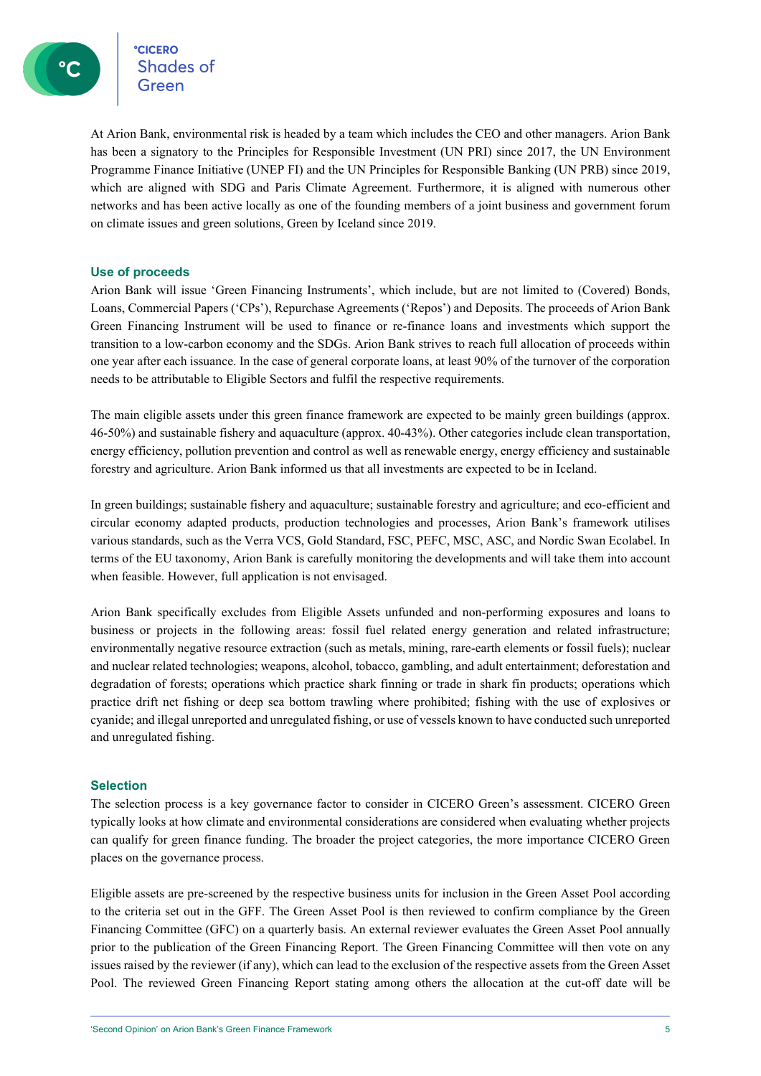eccero<br>Shades of **CICERO** 

At Arion Bank, environmental risk is headed by a team which includes the CEO and other managers. Arion Bank has been a signatory to the Principles for Responsible Investment (UN PRI) since 2017, the UN Environment Programme Finance Initiative (UNEP FI) and the UN Principles for Responsible Banking (UN PRB) since 2019, which are aligned with SDG and Paris Climate Agreement. Furthermore, it is aligned with numerous other networks and has been active locally as one of the founding members of a joint business and government forum on climate issues and green solutions, Green by Iceland since 2019.

#### **Use of proceeds**

Arion Bank will issue 'Green Financing Instruments', which include, but are not limited to (Covered) Bonds, Loans, Commercial Papers ('CPs'), Repurchase Agreements ('Repos') and Deposits. The proceeds of Arion Bank Green Financing Instrument will be used to finance or re-finance loans and investments which support the transition to a low-carbon economy and the SDGs. Arion Bank strives to reach full allocation of proceeds within one year after each issuance. In the case of general corporate loans, at least 90% of the turnover of the corporation needs to be attributable to Eligible Sectors and fulfil the respective requirements.

The main eligible assets under this green finance framework are expected to be mainly green buildings (approx. 46-50%) and sustainable fishery and aquaculture (approx. 40-43%). Other categories include clean transportation, energy efficiency, pollution prevention and control as well as renewable energy, energy efficiency and sustainable forestry and agriculture. Arion Bank informed us that all investments are expected to be in Iceland.

In green buildings; sustainable fishery and aquaculture; sustainable forestry and agriculture; and eco-efficient and circular economy adapted products, production technologies and processes, Arion Bank's framework utilises various standards, such as the Verra VCS, Gold Standard, FSC, PEFC, MSC, ASC, and Nordic Swan Ecolabel. In terms of the EU taxonomy, Arion Bank is carefully monitoring the developments and will take them into account when feasible. However, full application is not envisaged.

Arion Bank specifically excludes from Eligible Assets unfunded and non-performing exposures and loans to business or projects in the following areas: fossil fuel related energy generation and related infrastructure; environmentally negative resource extraction (such as metals, mining, rare-earth elements or fossil fuels); nuclear and nuclear related technologies; weapons, alcohol, tobacco, gambling, and adult entertainment; deforestation and degradation of forests; operations which practice shark finning or trade in shark fin products; operations which practice drift net fishing or deep sea bottom trawling where prohibited; fishing with the use of explosives or cyanide; and illegal unreported and unregulated fishing, or use of vessels known to have conducted such unreported and unregulated fishing.

#### **Selection**

The selection process is a key governance factor to consider in CICERO Green's assessment. CICERO Green typically looks at how climate and environmental considerations are considered when evaluating whether projects can qualify for green finance funding. The broader the project categories, the more importance CICERO Green places on the governance process.

Eligible assets are pre-screened by the respective business units for inclusion in the Green Asset Pool according to the criteria set out in the GFF. The Green Asset Pool is then reviewed to confirm compliance by the Green Financing Committee (GFC) on a quarterly basis. An external reviewer evaluates the Green Asset Pool annually prior to the publication of the Green Financing Report. The Green Financing Committee will then vote on any issues raised by the reviewer (if any), which can lead to the exclusion of the respective assets from the Green Asset Pool. The reviewed Green Financing Report stating among others the allocation at the cut-off date will be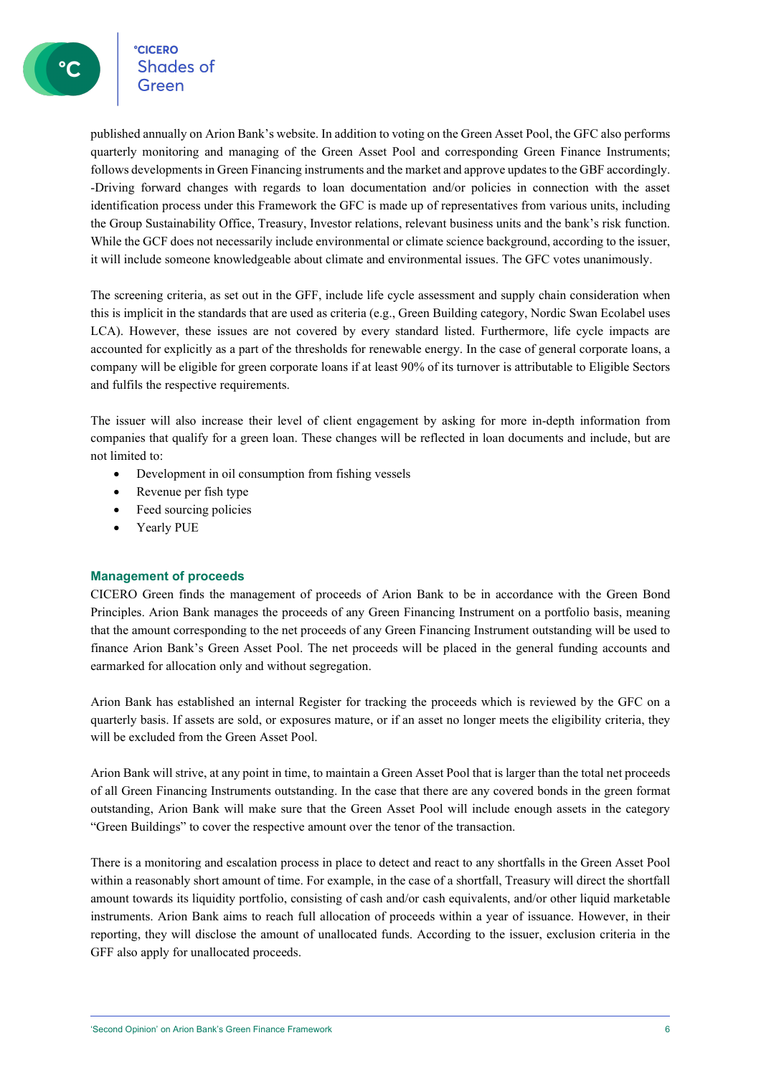**CICERO**<br>Shades of

published annually on Arion Bank's website. In addition to voting on the Green Asset Pool, the GFC also performs quarterly monitoring and managing of the Green Asset Pool and corresponding Green Finance Instruments; follows developments in Green Financing instruments and the market and approve updates to the GBF accordingly. -Driving forward changes with regards to loan documentation and/or policies in connection with the asset identification process under this Framework the GFC is made up of representatives from various units, including the Group Sustainability Office, Treasury, Investor relations, relevant business units and the bank's risk function. While the GCF does not necessarily include environmental or climate science background, according to the issuer, it will include someone knowledgeable about climate and environmental issues. The GFC votes unanimously.

The screening criteria, as set out in the GFF, include life cycle assessment and supply chain consideration when this is implicit in the standards that are used as criteria (e.g., Green Building category, Nordic Swan Ecolabel uses LCA). However, these issues are not covered by every standard listed. Furthermore, life cycle impacts are accounted for explicitly as a part of the thresholds for renewable energy. In the case of general corporate loans, a company will be eligible for green corporate loans if at least 90% of its turnover is attributable to Eligible Sectors and fulfils the respective requirements.

The issuer will also increase their level of client engagement by asking for more in-depth information from companies that qualify for a green loan. These changes will be reflected in loan documents and include, but are not limited to:

- Development in oil consumption from fishing vessels
- Revenue per fish type
- Feed sourcing policies
- Yearly PUE

#### **Management of proceeds**

CICERO Green finds the management of proceeds of Arion Bank to be in accordance with the Green Bond Principles. Arion Bank manages the proceeds of any Green Financing Instrument on a portfolio basis, meaning that the amount corresponding to the net proceeds of any Green Financing Instrument outstanding will be used to finance Arion Bank's Green Asset Pool. The net proceeds will be placed in the general funding accounts and earmarked for allocation only and without segregation.

Arion Bank has established an internal Register for tracking the proceeds which is reviewed by the GFC on a quarterly basis. If assets are sold, or exposures mature, or if an asset no longer meets the eligibility criteria, they will be excluded from the Green Asset Pool.

Arion Bank will strive, at any point in time, to maintain a Green Asset Pool that is larger than the total net proceeds of all Green Financing Instruments outstanding. In the case that there are any covered bonds in the green format outstanding, Arion Bank will make sure that the Green Asset Pool will include enough assets in the category "Green Buildings" to cover the respective amount over the tenor of the transaction.

There is a monitoring and escalation process in place to detect and react to any shortfalls in the Green Asset Pool within a reasonably short amount of time. For example, in the case of a shortfall, Treasury will direct the shortfall amount towards its liquidity portfolio, consisting of cash and/or cash equivalents, and/or other liquid marketable instruments. Arion Bank aims to reach full allocation of proceeds within a year of issuance. However, in their reporting, they will disclose the amount of unallocated funds. According to the issuer, exclusion criteria in the GFF also apply for unallocated proceeds.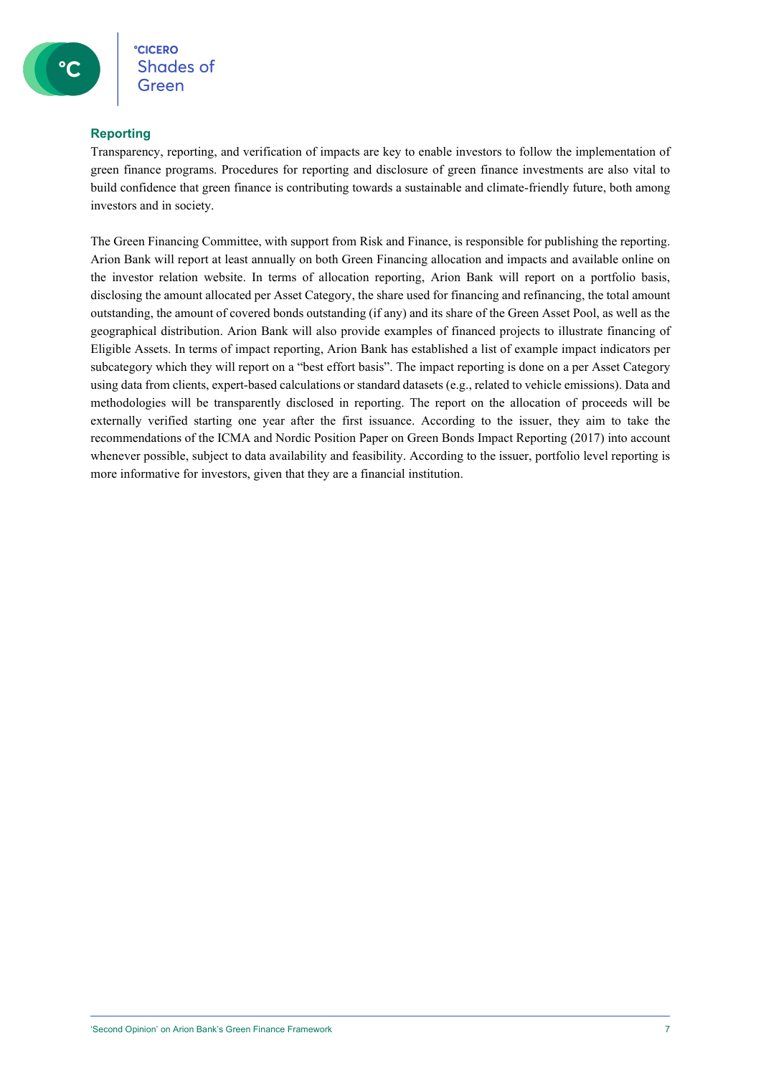#### **Reporting**

Transparency, reporting, and verification of impacts are key to enable investors to follow the implementation of green finance programs. Procedures for reporting and disclosure of green finance investments are also vital to build confidence that green finance is contributing towards a sustainable and climate-friendly future, both among investors and in society.

The Green Financing Committee, with support from Risk and Finance, is responsible for publishing the reporting. Arion Bank will report at least annually on both Green Financing allocation and impacts and available online on the investor relation website. In terms of allocation reporting, Arion Bank will report on a portfolio basis, disclosing the amount allocated per Asset Category, the share used for financing and refinancing, the total amount outstanding, the amount of covered bonds outstanding (if any) and its share of the Green Asset Pool, as well as the geographical distribution. Arion Bank will also provide examples of financed projects to illustrate financing of Eligible Assets. In terms of impact reporting, Arion Bank has established a list of example impact indicators per subcategory which they will report on a "best effort basis". The impact reporting is done on a per Asset Category using data from clients, expert-based calculations or standard datasets (e.g., related to vehicle emissions). Data and methodologies will be transparently disclosed in reporting. The report on the allocation of proceeds will be externally verified starting one year after the first issuance. According to the issuer, they aim to take the recommendations of the ICMA and Nordic Position Paper on Green Bonds Impact Reporting (2017) into account whenever possible, subject to data availability and feasibility. According to the issuer, portfolio level reporting is more informative for investors, given that they are a financial institution.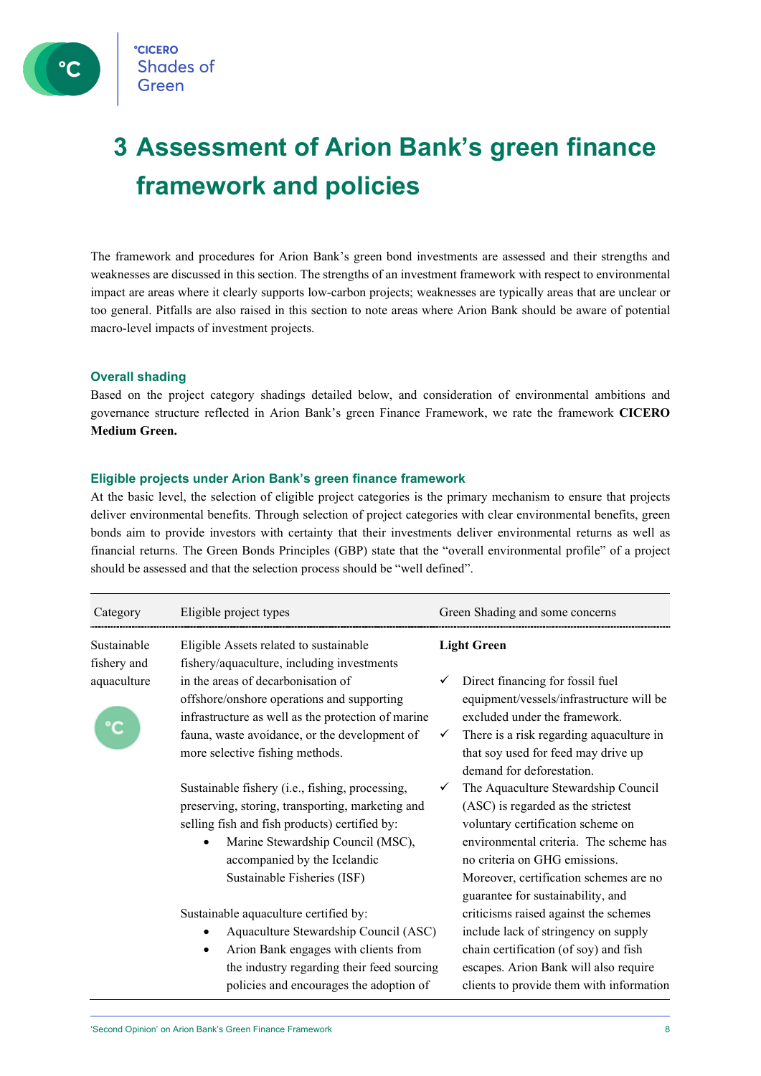### **3 Assessment of Arion Bank's green finance framework and policies**

The framework and procedures for Arion Bank's green bond investments are assessed and their strengths and weaknesses are discussed in this section. The strengths of an investment framework with respect to environmental impact are areas where it clearly supports low-carbon projects; weaknesses are typically areas that are unclear or too general. Pitfalls are also raised in this section to note areas where Arion Bank should be aware of potential macro-level impacts of investment projects.

#### **Overall shading**

Based on the project category shadings detailed below, and consideration of environmental ambitions and governance structure reflected in Arion Bank's green Finance Framework, we rate the framework **CICERO Medium Green.**

#### **Eligible projects under Arion Bank's green finance framework**

At the basic level, the selection of eligible project categories is the primary mechanism to ensure that projects deliver environmental benefits. Through selection of project categories with clear environmental benefits, green bonds aim to provide investors with certainty that their investments deliver environmental returns as well as financial returns. The Green Bonds Principles (GBP) state that the "overall environmental profile" of a project should be assessed and that the selection process should be "well defined".

| Category                   | Eligible project types                                                                                                                                                                                                                                   | Green Shading and some concerns                                                                                                                                                                                                                                          |
|----------------------------|----------------------------------------------------------------------------------------------------------------------------------------------------------------------------------------------------------------------------------------------------------|--------------------------------------------------------------------------------------------------------------------------------------------------------------------------------------------------------------------------------------------------------------------------|
| Sustainable<br>fishery and | Eligible Assets related to sustainable<br>fishery/aquaculture, including investments                                                                                                                                                                     | <b>Light Green</b>                                                                                                                                                                                                                                                       |
| aquaculture                | in the areas of decarbonisation of<br>offshore/onshore operations and supporting<br>infrastructure as well as the protection of marine<br>fauna, waste avoidance, or the development of<br>more selective fishing methods.                               | Direct financing for fossil fuel<br>equipment/vessels/infrastructure will be<br>excluded under the framework.<br>There is a risk regarding aquaculture in<br>that soy used for feed may drive up<br>demand for deforestation.                                            |
|                            | Sustainable fishery (i.e., fishing, processing,<br>preserving, storing, transporting, marketing and<br>selling fish and fish products) certified by:<br>Marine Stewardship Council (MSC),<br>accompanied by the Icelandic<br>Sustainable Fisheries (ISF) | The Aquaculture Stewardship Council<br>(ASC) is regarded as the strictest<br>voluntary certification scheme on<br>environmental criteria. The scheme has<br>no criteria on GHG emissions.<br>Moreover, certification schemes are no<br>guarantee for sustainability, and |
|                            | Sustainable aquaculture certified by:<br>Aquaculture Stewardship Council (ASC)<br>Arion Bank engages with clients from<br>the industry regarding their feed sourcing<br>policies and encourages the adoption of                                          | criticisms raised against the schemes<br>include lack of stringency on supply<br>chain certification (of soy) and fish<br>escapes. Arion Bank will also require<br>clients to provide them with information                                                              |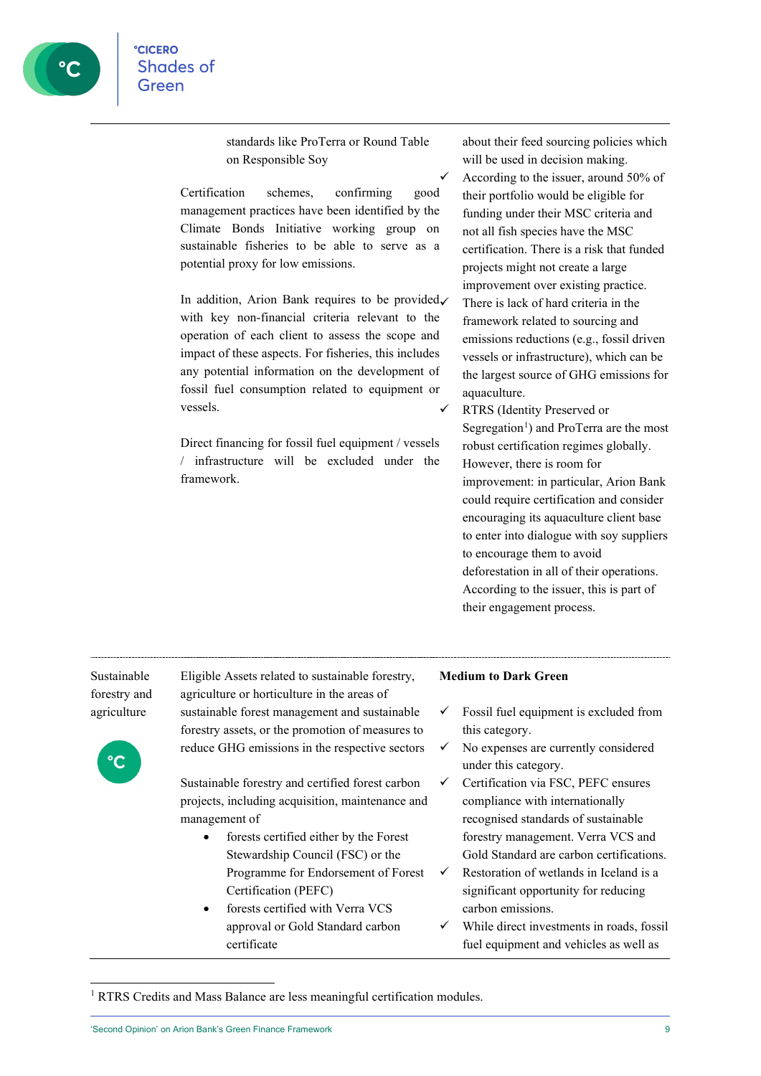standards like ProTerra or Round Table on Responsible Soy

Certification schemes, confirming good management practices have been identified by the Climate Bonds Initiative working group on sustainable fisheries to be able to serve as a potential proxy for low emissions.

In addition, Arion Bank requires to be provided $\checkmark$ with key non-financial criteria relevant to the operation of each client to assess the scope and impact of these aspects. For fisheries, this includes any potential information on the development of fossil fuel consumption related to equipment or vessels.

Direct financing for fossil fuel equipment / vessels / infrastructure will be excluded under the framework.

about their feed sourcing policies which will be used in decision making. According to the issuer, around 50% of their portfolio would be eligible for funding under their MSC criteria and not all fish species have the MSC certification. There is a risk that funded projects might not create a large improvement over existing practice. There is lack of hard criteria in the framework related to sourcing and emissions reductions (e.g., fossil driven vessels or infrastructure), which can be the largest source of GHG emissions for aquaculture.

 RTRS (Identity Preserved or Segregation<sup>[1](#page-8-0)</sup>) and ProTerra are the most robust certification regimes globally. However, there is room for improvement: in particular, Arion Bank could require certification and consider encouraging its aquaculture client base to enter into dialogue with soy suppliers to encourage them to avoid deforestation in all of their operations. According to the issuer, this is part of their engagement process.

Sustainable forestry and agriculture



Eligible Assets related to sustainable forestry, agriculture or horticulture in the areas of sustainable forest management and sustainable forestry assets, or the promotion of measures to reduce GHG emissions in the respective sectors

Sustainable forestry and certified forest carbon projects, including acquisition, maintenance and management of

- forests certified either by the Forest Stewardship Council (FSC) or the Programme for Endorsement of Forest Certification (PEFC)
- forests certified with Verra VCS approval or Gold Standard carbon certificate

#### **Medium to Dark Green**

- $\checkmark$  Fossil fuel equipment is excluded from this category.
- $\checkmark$  No expenses are currently considered under this category.
- $\checkmark$  Certification via FSC, PEFC ensures compliance with internationally recognised standards of sustainable forestry management. Verra VCS and Gold Standard are carbon certifications.
- $\checkmark$  Restoration of wetlands in Iceland is a significant opportunity for reducing carbon emissions.
- While direct investments in roads, fossil fuel equipment and vehicles as well as

<span id="page-8-0"></span><sup>&</sup>lt;sup>1</sup> RTRS Credits and Mass Balance are less meaningful certification modules.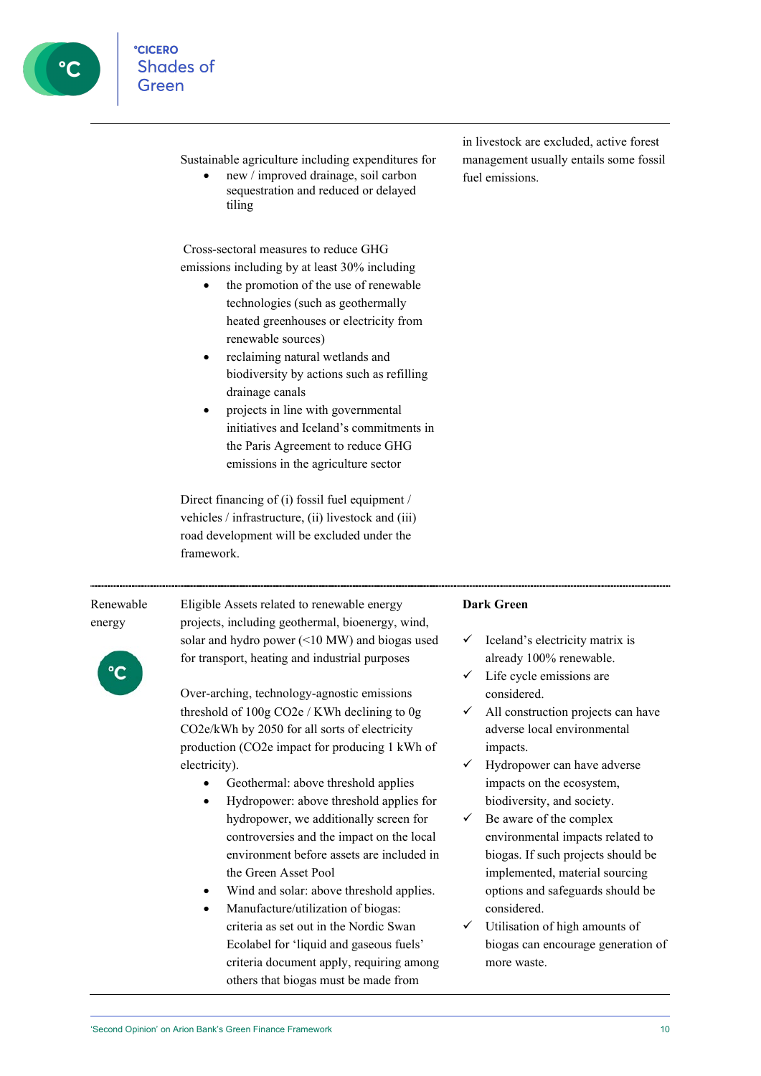Sustainable agriculture including expenditures for

• new / improved drainage, soil carbon sequestration and reduced or delayed tiling

Cross-sectoral measures to reduce GHG emissions including by at least 30% including

- the promotion of the use of renewable technologies (such as geothermally heated greenhouses or electricity from renewable sources)
- reclaiming natural wetlands and biodiversity by actions such as refilling drainage canals
- projects in line with governmental initiatives and Iceland's commitments in the Paris Agreement to reduce GHG emissions in the agriculture sector

Direct financing of (i) fossil fuel equipment / vehicles / infrastructure, (ii) livestock and (iii) road development will be excluded under the framework.

#### in livestock are excluded, active forest management usually entails some fossil fuel emissions.

#### Renewable energy

Eligible Assets related to renewable energy projects, including geothermal, bioenergy, wind, solar and hydro power (<10 MW) and biogas used for transport, heating and industrial purposes

Over-arching, technology-agnostic emissions threshold of 100g CO2e / KWh declining to 0g CO2e/kWh by 2050 for all sorts of electricity production (CO2e impact for producing 1 kWh of electricity).

- Geothermal: above threshold applies
- Hydropower: above threshold applies for hydropower, we additionally screen for controversies and the impact on the local environment before assets are included in the Green Asset Pool
- Wind and solar: above threshold applies.
- Manufacture/utilization of biogas: criteria as set out in the Nordic Swan Ecolabel for 'liquid and gaseous fuels' criteria document apply, requiring among others that biogas must be made from

#### **Dark Green**

- Iceland's electricity matrix is already 100% renewable.
- Life cycle emissions are considered.
- All construction projects can have adverse local environmental impacts.
- $\checkmark$  Hydropower can have adverse impacts on the ecosystem, biodiversity, and society.
- $\checkmark$  Be aware of the complex environmental impacts related to biogas. If such projects should be implemented, material sourcing options and safeguards should be considered.
- Utilisation of high amounts of biogas can encourage generation of more waste.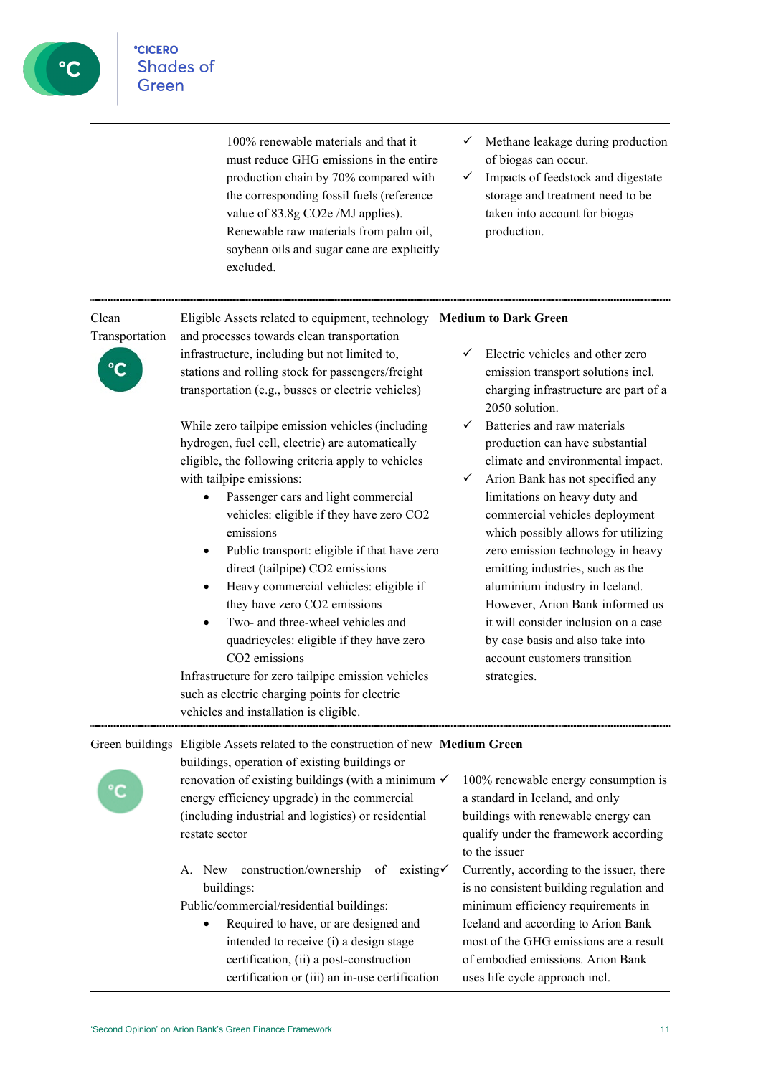

100% renewable materials and that it must reduce GHG emissions in the entire production chain by 70% compared with the corresponding fossil fuels (reference value of 83.8g CO2e /MJ applies). Renewable raw materials from palm oil, soybean oils and sugar cane are explicitly excluded.

- $\checkmark$  Methane leakage during production of biogas can occur.
- $\checkmark$  Impacts of feedstock and digestate storage and treatment need to be taken into account for biogas production.

| Clean<br>Transportation | Eligible Assets related to equipment, technology Medium to Dark Green<br>and processes towards clean transportation                                                                                                                                                                                                                                                                                                                                                                                                                                                                                                                                                                   |  |                                                                                                                                                                                                                                                                                                                                                                                                                                                                                                                            |  |
|-------------------------|---------------------------------------------------------------------------------------------------------------------------------------------------------------------------------------------------------------------------------------------------------------------------------------------------------------------------------------------------------------------------------------------------------------------------------------------------------------------------------------------------------------------------------------------------------------------------------------------------------------------------------------------------------------------------------------|--|----------------------------------------------------------------------------------------------------------------------------------------------------------------------------------------------------------------------------------------------------------------------------------------------------------------------------------------------------------------------------------------------------------------------------------------------------------------------------------------------------------------------------|--|
|                         | infrastructure, including but not limited to,<br>stations and rolling stock for passengers/freight<br>transportation (e.g., busses or electric vehicles)                                                                                                                                                                                                                                                                                                                                                                                                                                                                                                                              |  | Electric vehicles and other zero<br>emission transport solutions incl.<br>charging infrastructure are part of a<br>2050 solution.                                                                                                                                                                                                                                                                                                                                                                                          |  |
|                         | While zero tailpipe emission vehicles (including<br>hydrogen, fuel cell, electric) are automatically<br>eligible, the following criteria apply to vehicles<br>with tailpipe emissions:<br>Passenger cars and light commercial<br>vehicles: eligible if they have zero CO2<br>emissions<br>Public transport: eligible if that have zero<br>direct (tailpipe) CO2 emissions<br>Heavy commercial vehicles: eligible if<br>they have zero CO2 emissions<br>Two- and three-wheel vehicles and<br>$\bullet$<br>quadricycles: eligible if they have zero<br>CO <sub>2</sub> emissions<br>Infrastructure for zero tailpipe emission vehicles<br>such as electric charging points for electric |  | Batteries and raw materials<br>production can have substantial<br>climate and environmental impact.<br>Arion Bank has not specified any<br>limitations on heavy duty and<br>commercial vehicles deployment<br>which possibly allows for utilizing<br>zero emission technology in heavy<br>emitting industries, such as the<br>aluminium industry in Iceland.<br>However, Arion Bank informed us<br>it will consider inclusion on a case<br>by case basis and also take into<br>account customers transition<br>strategies. |  |
|                         | vehicles and installation is eligible.<br>Green buildings Eligible Assets related to the construction of new Medium Green                                                                                                                                                                                                                                                                                                                                                                                                                                                                                                                                                             |  |                                                                                                                                                                                                                                                                                                                                                                                                                                                                                                                            |  |
|                         | buildings, operation of existing buildings or<br>renovation of existing buildings (with a minimum $\checkmark$<br>energy efficiency upgrade) in the commercial<br>(including industrial and logistics) or residential                                                                                                                                                                                                                                                                                                                                                                                                                                                                 |  | 100% renewable energy consumption is<br>a standard in Iceland, and only<br>buildings with renewable energy can                                                                                                                                                                                                                                                                                                                                                                                                             |  |

restate sector

A. New construction/ownership of existing buildings:

Public/commercial/residential buildings:

• Required to have, or are designed and intended to receive (i) a design stage certification, (ii) a post-construction certification or (iii) an in-use certification qualify under the framework according to the issuer

 Currently, according to the issuer, there is no consistent building regulation and minimum efficiency requirements in Iceland and according to Arion Bank most of the GHG emissions are a result of embodied emissions. Arion Bank uses life cycle approach incl.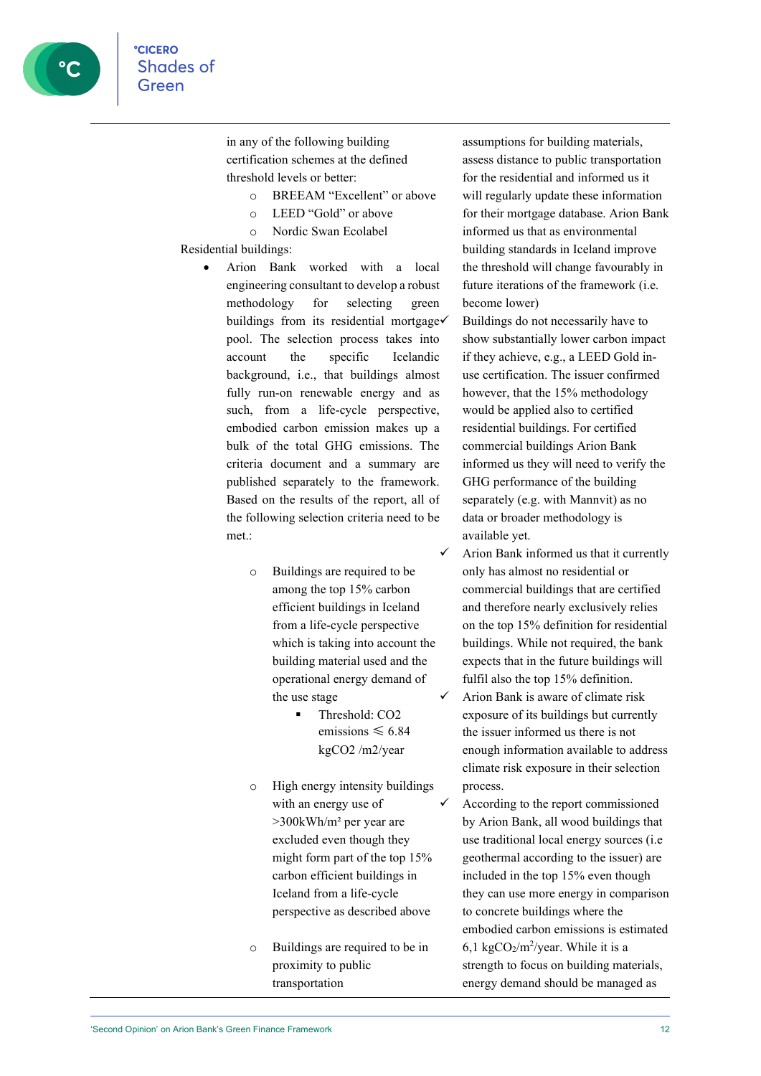in any of the following building certification schemes at the defined threshold levels or better:

- o BREEAM "Excellent" or above
- o LEED "Gold" or above
- o Nordic Swan Ecolabel

#### Residential buildings:

- Arion Bank worked with a local engineering consultant to develop a robust methodology for selecting green buildings from its residential mortgage pool. The selection process takes into account the specific Icelandic background, i.e., that buildings almost fully run-on renewable energy and as such, from a life-cycle perspective, embodied carbon emission makes up a bulk of the total GHG emissions. The criteria document and a summary are published separately to the framework. Based on the results of the report, all of the following selection criteria need to be met.:
	- o Buildings are required to be among the top 15% carbon efficient buildings in Iceland from a life-cycle perspective which is taking into account the building material used and the operational energy demand of the use stage
		- Threshold: CO2 emissions  $\leq 6.84$ kgCO2 /m2/year
	- o High energy intensity buildings with an energy use of >300kWh/m² per year are excluded even though they might form part of the top 15% carbon efficient buildings in Iceland from a life-cycle perspective as described above
	- o Buildings are required to be in proximity to public transportation

assumptions for building materials, assess distance to public transportation for the residential and informed us it will regularly update these information for their mortgage database. Arion Bank informed us that as environmental building standards in Iceland improve the threshold will change favourably in future iterations of the framework (i.e. become lower)

 Buildings do not necessarily have to show substantially lower carbon impact if they achieve, e.g., a LEED Gold inuse certification. The issuer confirmed however, that the 15% methodology would be applied also to certified residential buildings. For certified commercial buildings Arion Bank informed us they will need to verify the GHG performance of the building separately (e.g. with Mannvit) as no data or broader methodology is available yet.

- $\checkmark$  Arion Bank informed us that it currently only has almost no residential or commercial buildings that are certified and therefore nearly exclusively relies on the top 15% definition for residential buildings. While not required, the bank expects that in the future buildings will fulfil also the top 15% definition.  $\checkmark$  Arion Bank is aware of climate risk exposure of its buildings but currently the issuer informed us there is not enough information available to address climate risk exposure in their selection process.
	- According to the report commissioned by Arion Bank, all wood buildings that use traditional local energy sources (i.e geothermal according to the issuer) are included in the top 15% even though they can use more energy in comparison to concrete buildings where the embodied carbon emissions is estimated 6,1 kgCO $_2$ /m<sup>2</sup>/year. While it is a strength to focus on building materials, energy demand should be managed as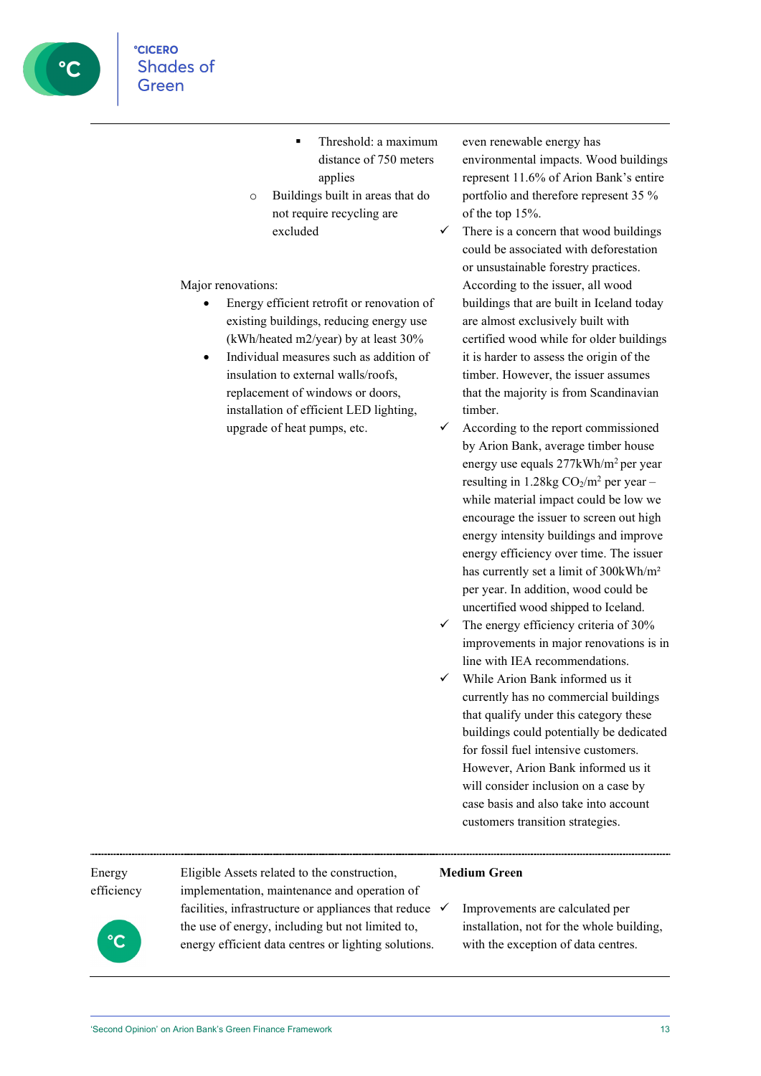

- **Threshold: a maximum** distance of 750 meters applies
- o Buildings built in areas that do not require recycling are excluded

Major renovations:

- Energy efficient retrofit or renovation of existing buildings, reducing energy use (kWh/heated m2/year) by at least 30%
- insulation to external walls/roofs, replacement of windows or doors, installation of efficient LED lighting, upgrade of heat pumps, etc.

even renewable energy has environmental impacts. Wood buildings represent 11.6% of Arion Bank's entire portfolio and therefore represent 35 % of the top 15%.

- There is a concern that wood buildings could be associated with deforestation or unsustainable forestry practices. According to the issuer, all wood buildings that are built in Iceland today are almost exclusively built with certified wood while for older buildings it is harder to assess the origin of the timber. However, the issuer assumes that the majority is from Scandinavian timber.
- According to the report commissioned by Arion Bank, average timber house energy use equals 277kWh/m2 per year resulting in  $1.28$ kg CO<sub>2</sub>/m<sup>2</sup> per year – while material impact could be low we encourage the issuer to screen out high energy intensity buildings and improve energy efficiency over time. The issuer has currently set a limit of 300kWh/m² per year. In addition, wood could be uncertified wood shipped to Iceland.
- $\checkmark$  The energy efficiency criteria of 30% improvements in major renovations is in line with IEA recommendations.
- While Arion Bank informed us it currently has no commercial buildings that qualify under this category these buildings could potentially be dedicated for fossil fuel intensive customers. However, Arion Bank informed us it will consider inclusion on a case by case basis and also take into account customers transition strategies.

#### Energy efficiency

Eligible Assets related to the construction, implementation, maintenance and operation of facilities, infrastructure or appliances that reduce  $\checkmark$ the use of energy, including but not limited to, energy efficient data centres or lighting solutions.

#### **Medium Green**

 Improvements are calculated per installation, not for the whole building, with the exception of data centres.

• Individual measures such as addition of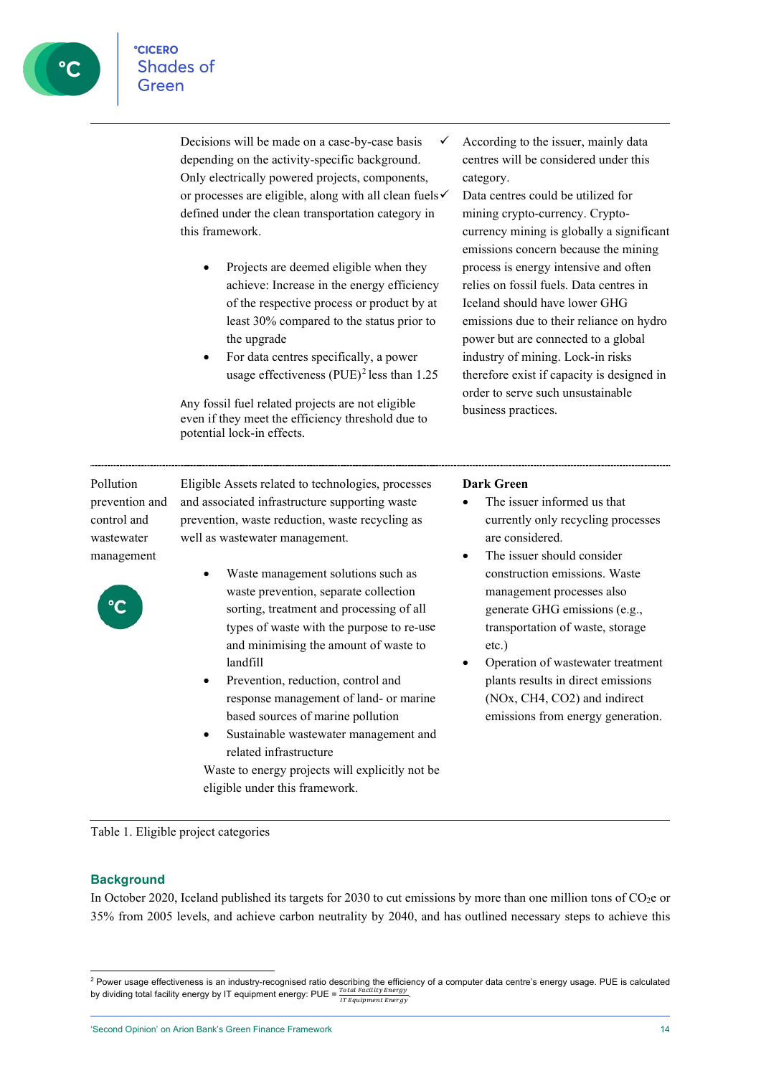Decisions will be made on a case-by-case basis depending on the activity-specific background. Only electrically powered projects, components, or processes are eligible, along with all clean fuels defined under the clean transportation category in this framework.

- Projects are deemed eligible when they achieve: Increase in the energy efficiency of the respective process or product by at least 30% compared to the status prior to the upgrade
- For data centres specifically, a power usage effectiveness  $(PUE)^2$  $(PUE)^2$  less than 1.25

Any fossil fuel related projects are not eligible even if they meet the efficiency threshold due to potential lock-in effects.

 According to the issuer, mainly data centres will be considered under this category.

 Data centres could be utilized for mining crypto-currency. Cryptocurrency mining is globally a significant emissions concern because the mining process is energy intensive and often relies on fossil fuels. Data centres in Iceland should have lower GHG emissions due to their reliance on hydro power but are connected to a global industry of mining. Lock-in risks therefore exist if capacity is designed in order to serve such unsustainable business practices.

Pollution prevention and control and wastewater management



Eligible Assets related to technologies, processes and associated infrastructure supporting waste prevention, waste reduction, waste recycling as well as wastewater management.

- Waste management solutions such as waste prevention, separate collection sorting, treatment and processing of all types of waste with the purpose to re-use and minimising the amount of waste to landfill
- Prevention, reduction, control and response management of land- or marine based sources of marine pollution
- Sustainable wastewater management and related infrastructure

Waste to energy projects will explicitly not be eligible under this framework.

#### **Dark Green**

- The issuer informed us that currently only recycling processes are considered.
- The issuer should consider construction emissions. Waste management processes also generate GHG emissions (e.g., transportation of waste, storage etc.)
- Operation of wastewater treatment plants results in direct emissions (NOx, CH4, CO2) and indirect emissions from energy generation.

Table 1. Eligible project categories

#### **Background**

In October 2020, Iceland published its targets for 2030 to cut emissions by more than one million tons of CO2e or 35% from 2005 levels, and achieve carbon neutrality by 2040, and has outlined necessary steps to achieve this

<span id="page-13-0"></span><sup>&</sup>lt;sup>2</sup> Power usage effectiveness is an industry-recognised ratio describing the efficiency of a computer data centre's energy usage. PUE is calculated by dividing total facility energy by IT equipment energy: PUE =  $\frac{Total\; Faculty\;Energy}{IT\; Equipment\;Energy}$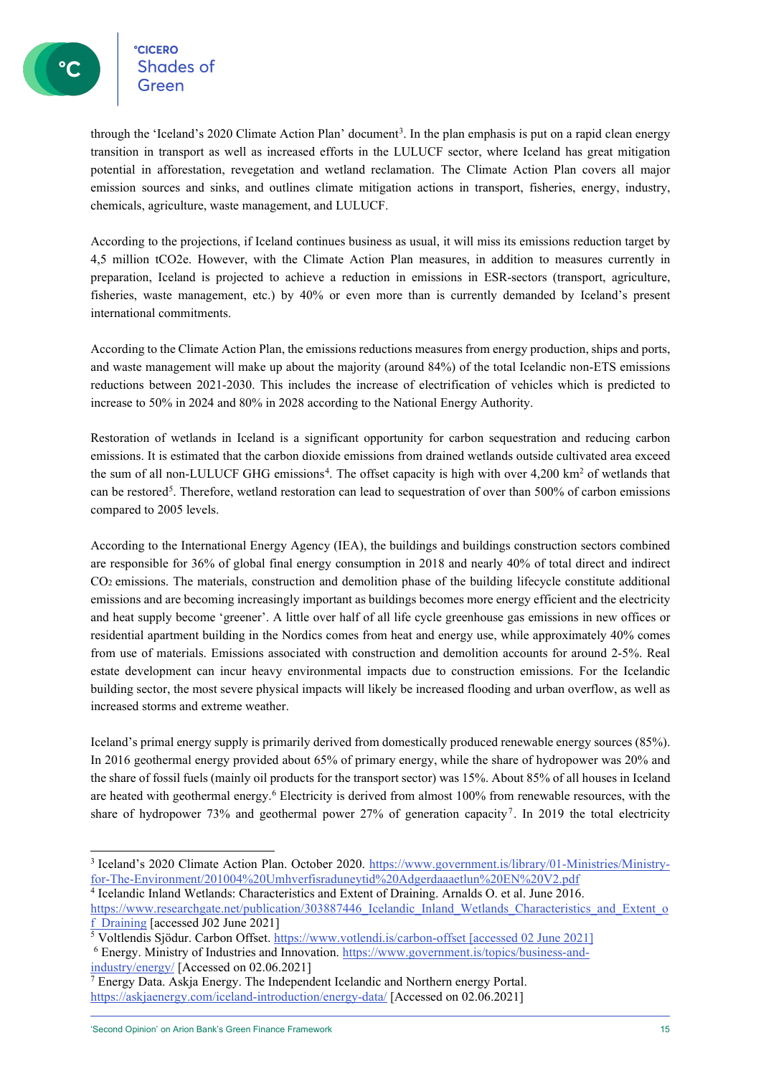**CICERO CICERO**<br>Shades of

through the 'Iceland's 2020 Climate Action Plan' document<sup>3</sup>. In the plan emphasis is put on a rapid clean energy transition in transport as well as increased efforts in the LULUCF sector, where Iceland has great mitigation potential in afforestation, revegetation and wetland reclamation. The Climate Action Plan covers all major emission sources and sinks, and outlines climate mitigation actions in transport, fisheries, energy, industry, chemicals, agriculture, waste management, and LULUCF.

According to the projections, if Iceland continues business as usual, it will miss its emissions reduction target by 4,5 million tCO2e. However, with the Climate Action Plan measures, in addition to measures currently in preparation, Iceland is projected to achieve a reduction in emissions in ESR-sectors (transport, agriculture, fisheries, waste management, etc.) by 40% or even more than is currently demanded by Iceland's present international commitments.

According to the Climate Action Plan, the emissions reductions measures from energy production, ships and ports, and waste management will make up about the majority (around 84%) of the total Icelandic non-ETS emissions reductions between 2021-2030. This includes the increase of electrification of vehicles which is predicted to increase to 50% in 2024 and 80% in 2028 according to the National Energy Authority.

Restoration of wetlands in Iceland is a significant opportunity for carbon sequestration and reducing carbon emissions. It is estimated that the carbon dioxide emissions from drained wetlands outside cultivated area exceed the sum of all non-LULUCF GHG emissions<sup>[4](#page-14-1)</sup>. The offset capacity is high with over 4,200 km<sup>2</sup> of wetlands that can be restored<sup>[5](#page-14-2)</sup>. Therefore, wetland restoration can lead to sequestration of over than  $500\%$  of carbon emissions compared to 2005 levels.

According to the International Energy Agency (IEA), the buildings and buildings construction sectors combined are responsible for 36% of global final energy consumption in 2018 and nearly 40% of total direct and indirect CO2 emissions. The materials, construction and demolition phase of the building lifecycle constitute additional emissions and are becoming increasingly important as buildings becomes more energy efficient and the electricity and heat supply become 'greener'. A little over half of all life cycle greenhouse gas emissions in new offices or residential apartment building in the Nordics comes from heat and energy use, while approximately 40% comes from use of materials. Emissions associated with construction and demolition accounts for around 2-5%. Real estate development can incur heavy environmental impacts due to construction emissions. For the Icelandic building sector, the most severe physical impacts will likely be increased flooding and urban overflow, as well as increased storms and extreme weather.

Iceland's primal energy supply is primarily derived from domestically produced renewable energy sources (85%). In 2016 geothermal energy provided about 65% of primary energy, while the share of hydropower was 20% and the share of fossil fuels (mainly oil products for the transport sector) was 15%. About 85% of all houses in Iceland are heated with geothermal energy.<sup>[6](#page-14-3)</sup> Electricity is derived from almost 100% from renewable resources, with the share of hydropower [7](#page-14-4)3% and geothermal power 27% of generation capacity<sup>7</sup>. In 2019 the total electricity

<span id="page-14-1"></span><sup>4</sup> Icelandic Inland Wetlands: Characteristics and Extent of Draining. Arnalds O. et al. June 2016.

<span id="page-14-0"></span><sup>3</sup> Iceland's 2020 Climate Action Plan. October 2020. [https://www.government.is/library/01-Ministries/Ministry](https://www.government.is/library/01-Ministries/Ministry-for-The-Environment/201004%20Umhverfisraduneytid%20Adgerdaaaetlun%20EN%20V2.pdf)[for-The-Environment/201004%20Umhverfisraduneytid%20Adgerdaaaetlun%20EN%20V2.pdf](https://www.government.is/library/01-Ministries/Ministry-for-The-Environment/201004%20Umhverfisraduneytid%20Adgerdaaaetlun%20EN%20V2.pdf)

https://www.researchgate.net/publication/303887446 Icelandic Inland Wetlands Characteristics and Extent of f Draining [accessed J02 June 2021]

<span id="page-14-2"></span><sup>5</sup> Voltlendis Sjödur. Carbon Offset.<https://www.votlendi.is/carbon-offset> [accessed 02 June 2021]

<span id="page-14-3"></span><sup>6</sup> Energy. Ministry of Industries and Innovation. [https://www.government.is/topics/business-and](https://www.government.is/topics/business-and-industry/energy/)[industry/energy/](https://www.government.is/topics/business-and-industry/energy/) [Accessed on 02.06.2021]

<span id="page-14-4"></span><sup>7</sup> Energy Data. Askja Energy. The Independent Icelandic and Northern energy Portal. <https://askjaenergy.com/iceland-introduction/energy-data/> [Accessed on 02.06.2021]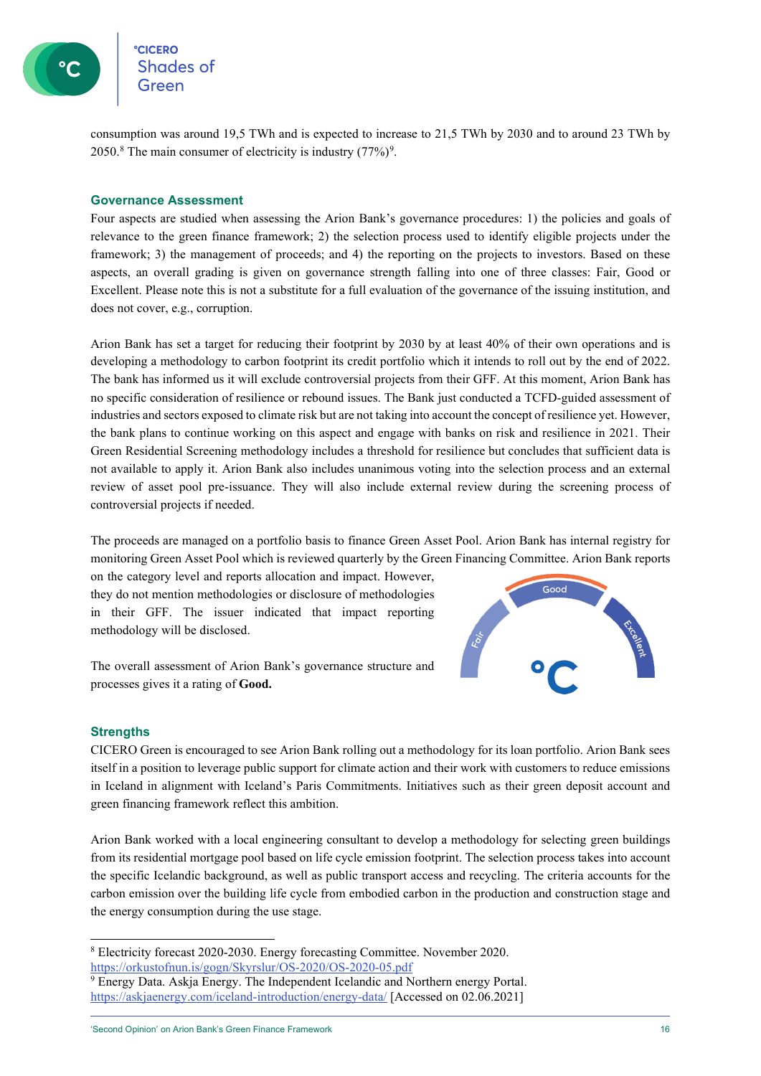

**CICERO Shades of** 

consumption was around 19,5 TWh and is expected to increase to 21,5 TWh by 2030 and to around 23 TWh by 2050.<sup>[8](#page-15-0)</sup> The main consumer of electricity is industry  $(77%)^9$  $(77%)^9$ .

#### **Governance Assessment**

Four aspects are studied when assessing the Arion Bank's governance procedures: 1) the policies and goals of relevance to the green finance framework; 2) the selection process used to identify eligible projects under the framework; 3) the management of proceeds; and 4) the reporting on the projects to investors. Based on these aspects, an overall grading is given on governance strength falling into one of three classes: Fair, Good or Excellent. Please note this is not a substitute for a full evaluation of the governance of the issuing institution, and does not cover, e.g., corruption.

Arion Bank has set a target for reducing their footprint by 2030 by at least 40% of their own operations and is developing a methodology to carbon footprint its credit portfolio which it intends to roll out by the end of 2022. The bank has informed us it will exclude controversial projects from their GFF. At this moment, Arion Bank has no specific consideration of resilience or rebound issues. The Bank just conducted a TCFD-guided assessment of industries and sectors exposed to climate risk but are not taking into account the concept of resilience yet. However, the bank plans to continue working on this aspect and engage with banks on risk and resilience in 2021. Their Green Residential Screening methodology includes a threshold for resilience but concludes that sufficient data is not available to apply it. Arion Bank also includes unanimous voting into the selection process and an external review of asset pool pre-issuance. They will also include external review during the screening process of controversial projects if needed.

The proceeds are managed on a portfolio basis to finance Green Asset Pool. Arion Bank has internal registry for monitoring Green Asset Pool which is reviewed quarterly by the Green Financing Committee. Arion Bank reports

on the category level and reports allocation and impact. However, they do not mention methodologies or disclosure of methodologies in their GFF. The issuer indicated that impact reporting methodology will be disclosed.

The overall assessment of Arion Bank's governance structure and processes gives it a rating of **Good.**

#### **Strengths**

CICERO Green is encouraged to see Arion Bank rolling out a methodology for its loan portfolio. Arion Bank sees itself in a position to leverage public support for climate action and their work with customers to reduce emissions in Iceland in alignment with Iceland's Paris Commitments. Initiatives such as their green deposit account and green financing framework reflect this ambition.

Arion Bank worked with a local engineering consultant to develop a methodology for selecting green buildings from its residential mortgage pool based on life cycle emission footprint. The selection process takes into account the specific Icelandic background, as well as public transport access and recycling. The criteria accounts for the carbon emission over the building life cycle from embodied carbon in the production and construction stage and the energy consumption during the use stage.



<span id="page-15-0"></span><sup>8</sup> Electricity forecast 2020-2030. Energy forecasting Committee. November 2020. <https://orkustofnun.is/gogn/Skyrslur/OS-2020/OS-2020-05.pdf>

<span id="page-15-1"></span><sup>&</sup>lt;sup>9</sup> Energy Data. Askja Energy. The Independent Icelandic and Northern energy Portal. <https://askjaenergy.com/iceland-introduction/energy-data/> [Accessed on 02.06.2021]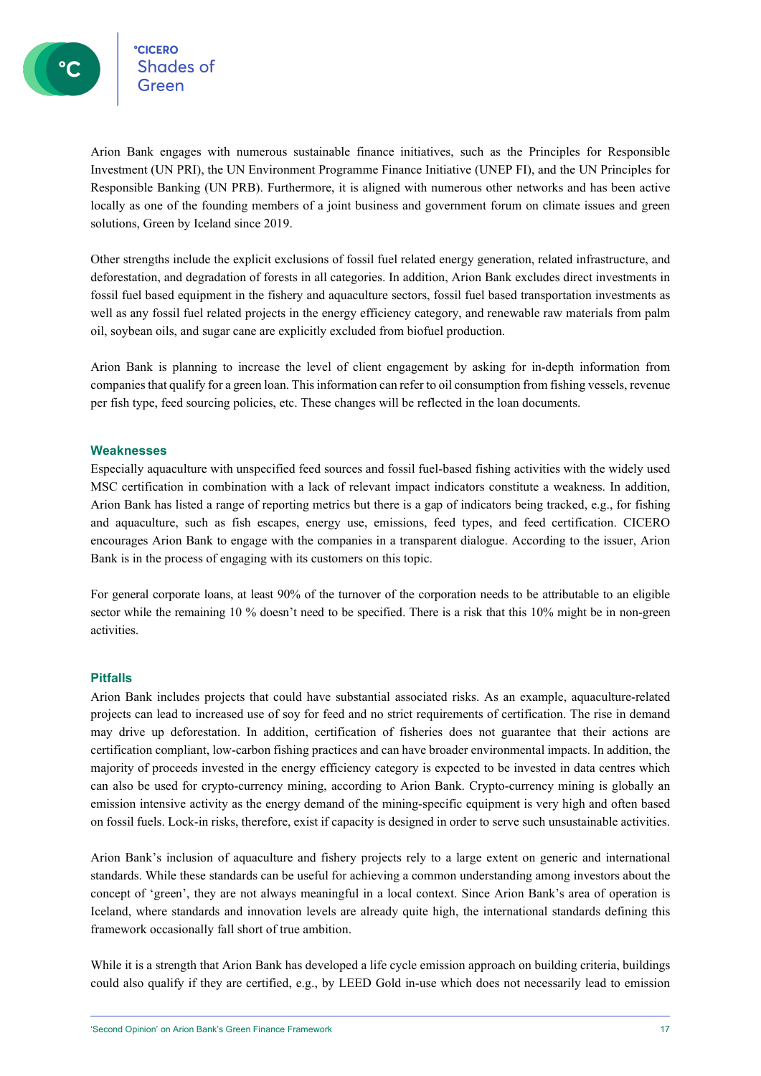°cicero<br>Shades of

Arion Bank engages with numerous sustainable finance initiatives, such as the Principles for Responsible Investment (UN PRI), the UN Environment Programme Finance Initiative (UNEP FI), and the UN Principles for Responsible Banking (UN PRB). Furthermore, it is aligned with numerous other networks and has been active locally as one of the founding members of a joint business and government forum on climate issues and green solutions, Green by Iceland since 2019.

Other strengths include the explicit exclusions of fossil fuel related energy generation, related infrastructure, and deforestation, and degradation of forests in all categories. In addition, Arion Bank excludes direct investments in fossil fuel based equipment in the fishery and aquaculture sectors, fossil fuel based transportation investments as well as any fossil fuel related projects in the energy efficiency category, and renewable raw materials from palm oil, soybean oils, and sugar cane are explicitly excluded from biofuel production.

Arion Bank is planning to increase the level of client engagement by asking for in-depth information from companies that qualify for a green loan. This information can refer to oil consumption from fishing vessels, revenue per fish type, feed sourcing policies, etc. These changes will be reflected in the loan documents.

#### **Weaknesses**

Especially aquaculture with unspecified feed sources and fossil fuel-based fishing activities with the widely used MSC certification in combination with a lack of relevant impact indicators constitute a weakness. In addition, Arion Bank has listed a range of reporting metrics but there is a gap of indicators being tracked, e.g., for fishing and aquaculture, such as fish escapes, energy use, emissions, feed types, and feed certification. CICERO encourages Arion Bank to engage with the companies in a transparent dialogue. According to the issuer, Arion Bank is in the process of engaging with its customers on this topic.

For general corporate loans, at least 90% of the turnover of the corporation needs to be attributable to an eligible sector while the remaining 10 % doesn't need to be specified. There is a risk that this 10% might be in non-green activities.

#### **Pitfalls**

Arion Bank includes projects that could have substantial associated risks. As an example, aquaculture-related projects can lead to increased use of soy for feed and no strict requirements of certification. The rise in demand may drive up deforestation. In addition, certification of fisheries does not guarantee that their actions are certification compliant, low-carbon fishing practices and can have broader environmental impacts. In addition, the majority of proceeds invested in the energy efficiency category is expected to be invested in data centres which can also be used for crypto-currency mining, according to Arion Bank. Crypto-currency mining is globally an emission intensive activity as the energy demand of the mining-specific equipment is very high and often based on fossil fuels. Lock-in risks, therefore, exist if capacity is designed in order to serve such unsustainable activities.

Arion Bank's inclusion of aquaculture and fishery projects rely to a large extent on generic and international standards. While these standards can be useful for achieving a common understanding among investors about the concept of 'green', they are not always meaningful in a local context. Since Arion Bank's area of operation is Iceland, where standards and innovation levels are already quite high, the international standards defining this framework occasionally fall short of true ambition.

While it is a strength that Arion Bank has developed a life cycle emission approach on building criteria, buildings could also qualify if they are certified, e.g., by LEED Gold in-use which does not necessarily lead to emission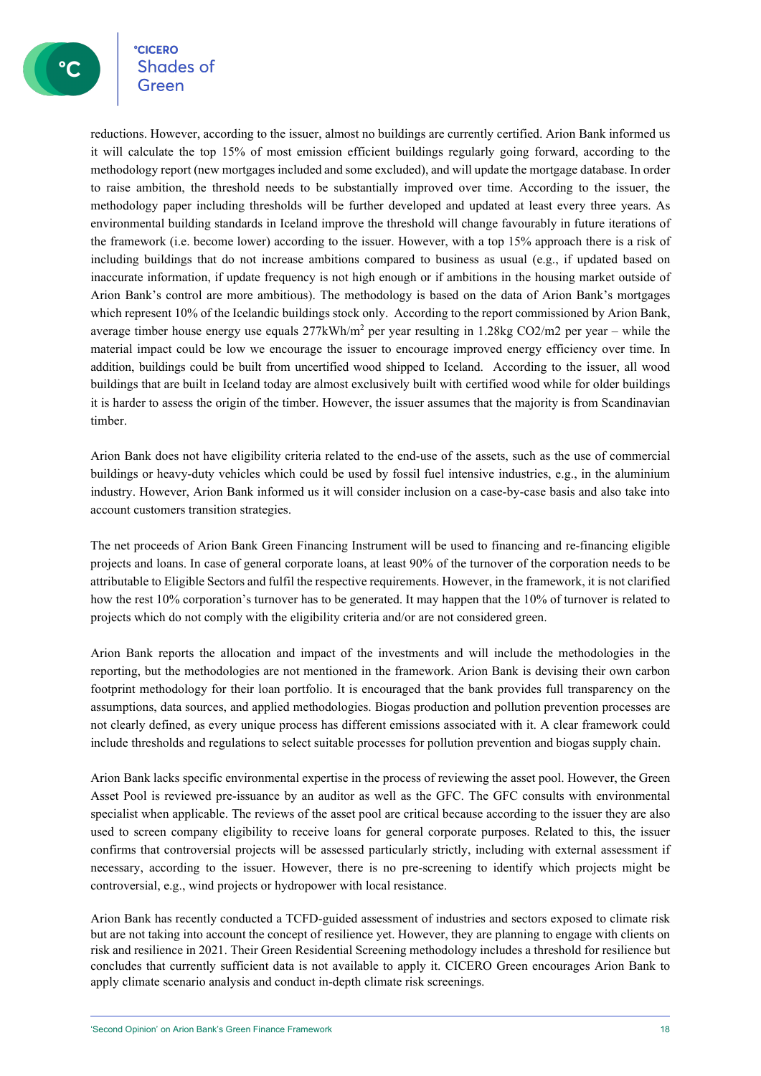**CICERO** eccero<br>Shades of

reductions. However, according to the issuer, almost no buildings are currently certified. Arion Bank informed us it will calculate the top 15% of most emission efficient buildings regularly going forward, according to the methodology report (new mortgages included and some excluded), and will update the mortgage database. In order to raise ambition, the threshold needs to be substantially improved over time. According to the issuer, the methodology paper including thresholds will be further developed and updated at least every three years. As environmental building standards in Iceland improve the threshold will change favourably in future iterations of the framework (i.e. become lower) according to the issuer. However, with a top 15% approach there is a risk of including buildings that do not increase ambitions compared to business as usual (e.g., if updated based on inaccurate information, if update frequency is not high enough or if ambitions in the housing market outside of Arion Bank's control are more ambitious). The methodology is based on the data of Arion Bank's mortgages which represent 10% of the Icelandic buildings stock only. According to the report commissioned by Arion Bank, average timber house energy use equals  $277kWh/m^2$  per year resulting in 1.28kg CO2/m2 per year – while the material impact could be low we encourage the issuer to encourage improved energy efficiency over time. In addition, buildings could be built from uncertified wood shipped to Iceland. According to the issuer, all wood buildings that are built in Iceland today are almost exclusively built with certified wood while for older buildings it is harder to assess the origin of the timber. However, the issuer assumes that the majority is from Scandinavian timber.

Arion Bank does not have eligibility criteria related to the end-use of the assets, such as the use of commercial buildings or heavy-duty vehicles which could be used by fossil fuel intensive industries, e.g., in the aluminium industry. However, Arion Bank informed us it will consider inclusion on a case-by-case basis and also take into account customers transition strategies.

The net proceeds of Arion Bank Green Financing Instrument will be used to financing and re-financing eligible projects and loans. In case of general corporate loans, at least 90% of the turnover of the corporation needs to be attributable to Eligible Sectors and fulfil the respective requirements. However, in the framework, it is not clarified how the rest 10% corporation's turnover has to be generated. It may happen that the 10% of turnover is related to projects which do not comply with the eligibility criteria and/or are not considered green.

Arion Bank reports the allocation and impact of the investments and will include the methodologies in the reporting, but the methodologies are not mentioned in the framework. Arion Bank is devising their own carbon footprint methodology for their loan portfolio. It is encouraged that the bank provides full transparency on the assumptions, data sources, and applied methodologies. Biogas production and pollution prevention processes are not clearly defined, as every unique process has different emissions associated with it. A clear framework could include thresholds and regulations to select suitable processes for pollution prevention and biogas supply chain.

Arion Bank lacks specific environmental expertise in the process of reviewing the asset pool. However, the Green Asset Pool is reviewed pre-issuance by an auditor as well as the GFC. The GFC consults with environmental specialist when applicable. The reviews of the asset pool are critical because according to the issuer they are also used to screen company eligibility to receive loans for general corporate purposes. Related to this, the issuer confirms that controversial projects will be assessed particularly strictly, including with external assessment if necessary, according to the issuer. However, there is no pre-screening to identify which projects might be controversial, e.g., wind projects or hydropower with local resistance.

Arion Bank has recently conducted a TCFD-guided assessment of industries and sectors exposed to climate risk but are not taking into account the concept of resilience yet. However, they are planning to engage with clients on risk and resilience in 2021. Their Green Residential Screening methodology includes a threshold for resilience but concludes that currently sufficient data is not available to apply it. CICERO Green encourages Arion Bank to apply climate scenario analysis and conduct in-depth climate risk screenings.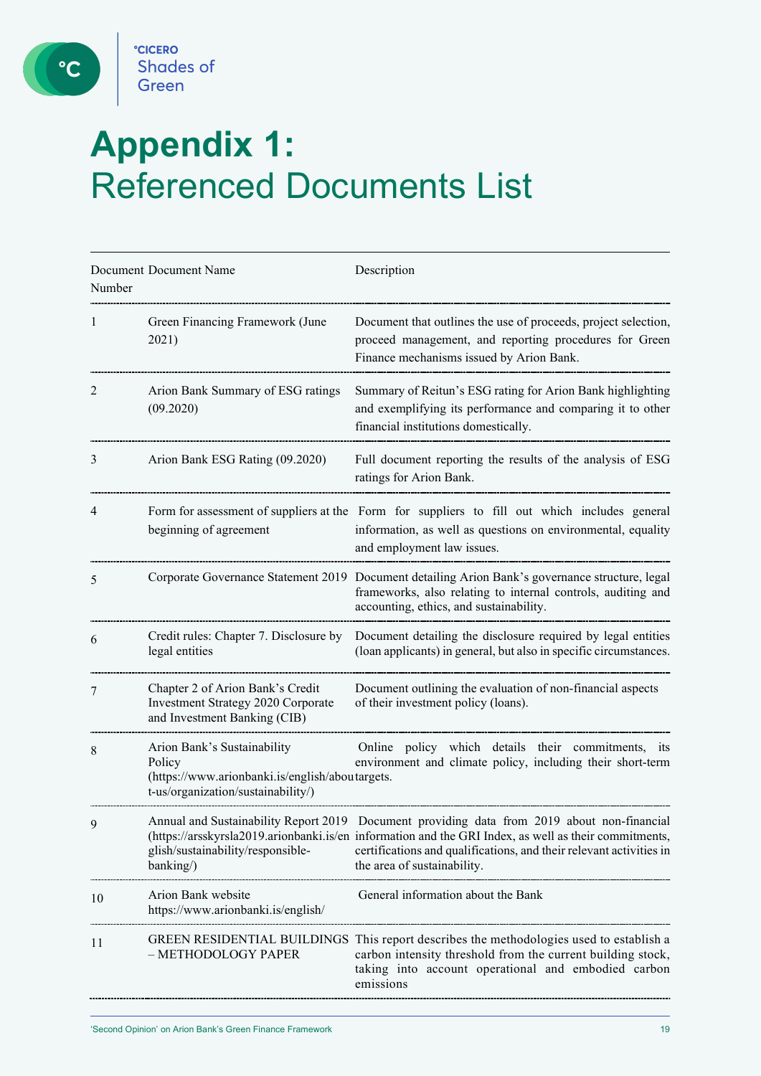C

# **Appendix 1:**  Referenced Documents List

| Document Document Name<br>Number |                                                                                                                                | Description                                                                                                                                                                                                                                                                                                |  |  |  |  |
|----------------------------------|--------------------------------------------------------------------------------------------------------------------------------|------------------------------------------------------------------------------------------------------------------------------------------------------------------------------------------------------------------------------------------------------------------------------------------------------------|--|--|--|--|
| 1                                | Green Financing Framework (June<br>2021)                                                                                       | Document that outlines the use of proceeds, project selection,<br>proceed management, and reporting procedures for Green<br>Finance mechanisms issued by Arion Bank.                                                                                                                                       |  |  |  |  |
| 2                                | Arion Bank Summary of ESG ratings<br>(09.2020)                                                                                 | Summary of Reitun's ESG rating for Arion Bank highlighting<br>and exemplifying its performance and comparing it to other<br>financial institutions domestically.                                                                                                                                           |  |  |  |  |
| 3                                | Arion Bank ESG Rating (09.2020)                                                                                                | Full document reporting the results of the analysis of ESG<br>ratings for Arion Bank.                                                                                                                                                                                                                      |  |  |  |  |
| 4                                | beginning of agreement                                                                                                         | Form for assessment of suppliers at the Form for suppliers to fill out which includes general<br>information, as well as questions on environmental, equality<br>and employment law issues.                                                                                                                |  |  |  |  |
| 5                                |                                                                                                                                | Corporate Governance Statement 2019 Document detailing Arion Bank's governance structure, legal<br>frameworks, also relating to internal controls, auditing and<br>accounting, ethics, and sustainability.                                                                                                 |  |  |  |  |
| 6                                | Credit rules: Chapter 7. Disclosure by<br>legal entities                                                                       | Document detailing the disclosure required by legal entities<br>(loan applicants) in general, but also in specific circumstances.                                                                                                                                                                          |  |  |  |  |
| 7                                | Chapter 2 of Arion Bank's Credit<br>Investment Strategy 2020 Corporate<br>and Investment Banking (CIB)                         | Document outlining the evaluation of non-financial aspects<br>of their investment policy (loans).                                                                                                                                                                                                          |  |  |  |  |
| 8                                | Arion Bank's Sustainability<br>Policy<br>(https://www.arionbanki.is/english/aboutargets.<br>t-us/organization/sustainability/) | Online policy which details their commitments, its<br>environment and climate policy, including their short-term                                                                                                                                                                                           |  |  |  |  |
| 9                                | glish/sustainability/responsible-<br>banking/)                                                                                 | Annual and Sustainability Report 2019 Document providing data from 2019 about non-financial<br>(https://arsskyrsla2019.arionbanki.is/en information and the GRI Index, as well as their commitments,<br>certifications and qualifications, and their relevant activities in<br>the area of sustainability. |  |  |  |  |
| 10                               | Arion Bank website<br>https://www.arionbanki.is/english/                                                                       | General information about the Bank                                                                                                                                                                                                                                                                         |  |  |  |  |
| 11                               | - METHODOLOGY PAPER                                                                                                            | GREEN RESIDENTIAL BUILDINGS This report describes the methodologies used to establish a<br>carbon intensity threshold from the current building stock,<br>taking into account operational and embodied carbon<br>emissions                                                                                 |  |  |  |  |